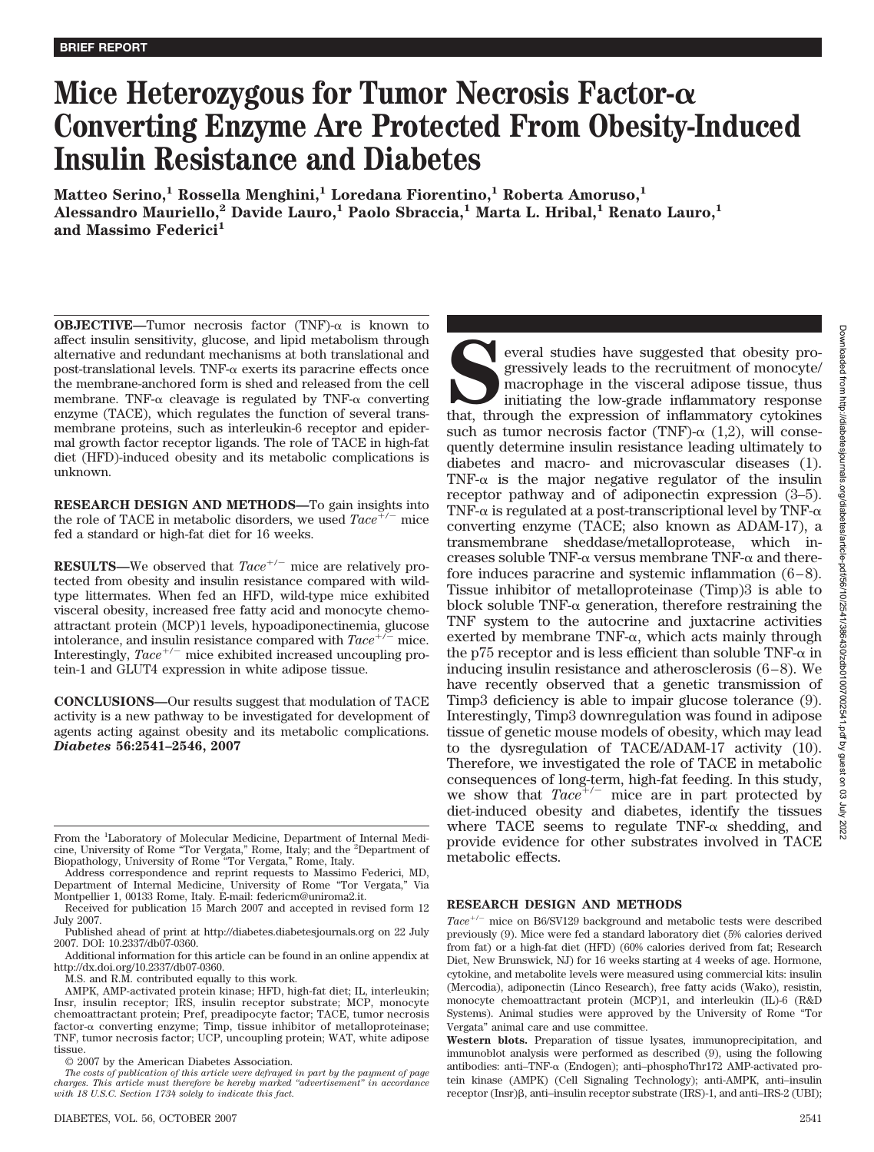# **Mice Heterozygous for Tumor Necrosis Factor- Converting Enzyme Are Protected From Obesity-Induced Insulin Resistance and Diabetes**

**Matteo Serino,<sup>1</sup> Rossella Menghini,<sup>1</sup> Loredana Fiorentino,<sup>1</sup> Roberta Amoruso,<sup>1</sup> Alessandro Mauriello,2 Davide Lauro,1 Paolo Sbraccia,1 Marta L. Hribal,1 Renato Lauro,1** and Massimo Federici<sup>1</sup>

**OBJECTIVE—Tumor** necrosis factor (TNF)- $\alpha$  is known to affect insulin sensitivity, glucose, and lipid metabolism through alternative and redundant mechanisms at both translational and post-translational levels. TNF- $\alpha$  exerts its paracrine effects once the membrane-anchored form is shed and released from the cell membrane. TNF- $\alpha$  cleavage is regulated by TNF- $\alpha$  converting enzyme (TACE), which regulates the function of several transmembrane proteins, such as interleukin-6 receptor and epidermal growth factor receptor ligands. The role of TACE in high-fat diet (HFD)-induced obesity and its metabolic complications is unknown.

**RESEARCH DESIGN AND METHODS—**To gain insights into the role of TACE in metabolic disorders, we used  $Tace^{\neq/-}$  mice fed a standard or high-fat diet for 16 weeks.

**RESULTS**—We observed that  $Tace^{+/-}$  mice are relatively protected from obesity and insulin resistance compared with wildtype littermates. When fed an HFD, wild-type mice exhibited visceral obesity, increased free fatty acid and monocyte chemoattractant protein (MCP)1 levels, hypoadiponectinemia, glucose intolerance, and insulin resistance compared with *Tace*mice. Interestingly, *Tace*<sup>+/-</sup> mice exhibited increased uncoupling protein-1 and GLUT4 expression in white adipose tissue.

**CONCLUSIONS—**Our results suggest that modulation of TACE activity is a new pathway to be investigated for development of agents acting against obesity and its metabolic complications. *Diabetes* **56:2541–2546, 2007**

Address correspondence and reprint requests to Massimo Federici, MD, Department of Internal Medicine, University of Rome "Tor Vergata," Via Montpellier 1, 00133 Rome, Italy. E-mail: federicm@uniroma2.it.

Additional information for this article can be found in an online appendix at http://dx.doi.org/10.2337/db07-0360.

M.S. and R.M. contributed equally to this work.

AMPK, AMP-activated protein kinase; HFD, high-fat diet; IL, interleukin; Insr, insulin receptor; IRS, insulin receptor substrate; MCP, monocyte chemoattractant protein; Pref, preadipocyte factor; TACE, tumor necrosis  $factor-\alpha$  converting enzyme; Timp, tissue inhibitor of metalloproteinase; TNF, tumor necrosis factor; UCP, uncoupling protein; WAT, white adipose tissue.

© 2007 by the American Diabetes Association.

**SERGING SPRANCE STATES SERGING SPRANCE SPRANCE SPRANCE SPRANCE SPRANCE SPRANCE SPRANCE SPRANCE SPRANCE SPRANCE SPRANCE SPRANCE SPRANCE SPRANCE SPRANCE SPRANCE SPRANCE SPRANCE SPRANCE SPRANCE SPRANCE SPRANCE SPRANCE SPRANC** gressively leads to the recruitment of monocyte/ macrophage in the visceral adipose tissue, thus initiating the low-grade inflammatory response such as tumor necrosis factor (TNF)- $\alpha$  (1,2), will consequently determine insulin resistance leading ultimately to diabetes and macro- and microvascular diseases (1). TNF- $\alpha$  is the major negative regulator of the insulin receptor pathway and of adiponectin expression (3–5). TNF- $\alpha$  is regulated at a post-transcriptional level by TNF- $\alpha$ converting enzyme (TACE; also known as ADAM-17), a transmembrane sheddase/metalloprotease, which increases soluble TNF- $\alpha$  versus membrane TNF- $\alpha$  and therefore induces paracrine and systemic inflammation  $(6-8)$ . Tissue inhibitor of metalloproteinase (Timp)3 is able to block soluble  $TNF-\alpha$  generation, therefore restraining the TNF system to the autocrine and juxtacrine activities exerted by membrane  $TNF-\alpha$ , which acts mainly through the p75 receptor and is less efficient than soluble TNF- $\alpha$  in inducing insulin resistance and atherosclerosis (6 – 8). We have recently observed that a genetic transmission of Timp3 deficiency is able to impair glucose tolerance (9). Interestingly, Timp3 downregulation was found in adipose tissue of genetic mouse models of obesity, which may lead to the dysregulation of TACE/ADAM-17 activity (10). Therefore, we investigated the role of TACE in metabolic consequences of long-term, high-fat feeding. In this study, we show that  $Tace^{+/-}$  mice are in part protected by diet-induced obesity and diabetes, identify the tissues where TACE seems to regulate TNF- $\alpha$  shedding, and provide evidence for other substrates involved in TACE metabolic effects.

# **RESEARCH DESIGN AND METHODS**

Tace<sup>+/-</sup> mice on B6/SV129 background and metabolic tests were described previously (9). Mice were fed a standard laboratory diet (5% calories derived from fat) or a high-fat diet (HFD) (60% calories derived from fat; Research Diet, New Brunswick, NJ) for 16 weeks starting at 4 weeks of age. Hormone, cytokine, and metabolite levels were measured using commercial kits: insulin (Mercodia), adiponectin (Linco Research), free fatty acids (Wako), resistin, monocyte chemoattractant protein (MCP)1, and interleukin (IL)-6 (R&D Systems). Animal studies were approved by the University of Rome "Tor Vergata" animal care and use committee.

**Western blots.** Preparation of tissue lysates, immunoprecipitation, and immunoblot analysis were performed as described (9), using the following antibodies: anti-TNF- $\alpha$  (Endogen); anti-phosphoThr172 AMP-activated protein kinase (AMPK) (Cell Signaling Technology); anti-AMPK, anti–insulin receptor (Insr) $\beta$ , anti-insulin receptor substrate (IRS)-1, and anti-IRS-2 (UBI);

From the <sup>1</sup>Laboratory of Molecular Medicine, Department of Internal Medicine, University of Rome "Tor Vergata," Rome, Italy; and the <sup>2</sup> Department of Biopathology, University of Rome "Tor Vergata," Rome, Italy.

Received for publication 15 March 2007 and accepted in revised form 12 July 2007.

Published ahead of print at http://diabetes.diabetesjournals.org on 22 July 2007. DOI: 10.2337/db07-0360.

*The costs of publication of this article were defrayed in part by the payment of page charges. This article must therefore be hereby marked "advertisement" in accordance with 18 U.S.C. Section 1734 solely to indicate this fact.*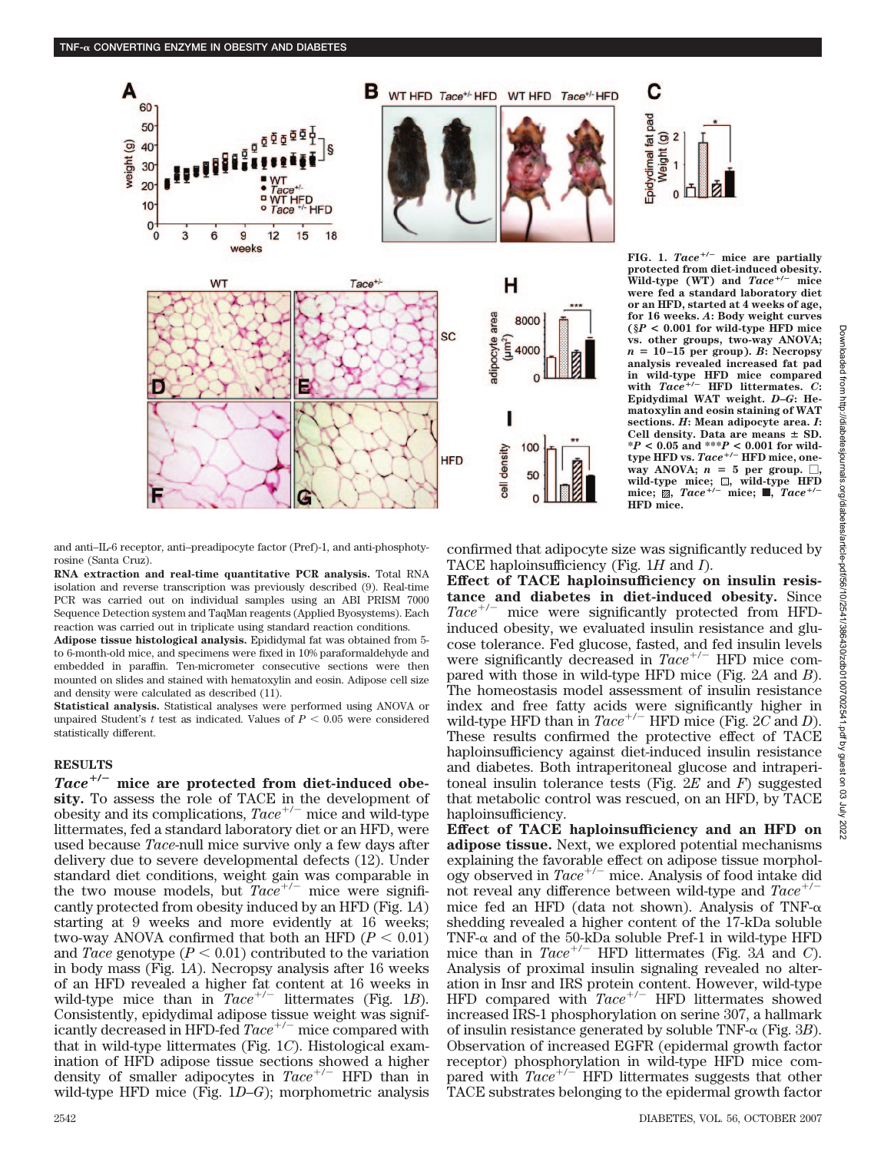

FIG. 1.  $Tace^{+/-}$  mice are partially **protected from diet-induced obesity. Wild-type (WT) and** *Tace*-**/ mice were fed a standard laboratory diet or an HFD, started at 4 weeks of age, for 16 weeks.** *A***: Body weight curves (§***P* **< 0.001 for wild-type HFD mice vs. other groups, two-way ANOVA;**  $n = 10-15$  per group). *B*: Necropsy **analysis revealed increased fat pad in wild-type HFD mice compared with** *Tace*-**/ HFD littermates.** *C***: Epidydimal WAT weight.** *D***–***G***: Hematoxylin and eosin staining of WAT sections.** *H***: Mean adipocyte area.** *I***:** Cell density. Data are means  $\pm$  SD. **\****P* **< 0.05 and \*\*\****P* **< 0.001 for wildtype HFD vs.** *Tace*-**/ HFD mice, oneway ANOVA;**  $n = 5$  per group.  $\Box$ , wild-type mice;  $\Box$ , wild-type HFD<br>mice:  $\Box$  Tace<sup>+/-</sup> mice:  $\Box$  Tace<sup>+/-</sup> **mice;,** *Tace*-**/ mice;** f**,** *Tace*-**HFD mice.**

and anti–IL-6 receptor, anti–preadipocyte factor (Pref)-1, and anti-phosphotyrosine (Santa Cruz).

**RNA extraction and real-time quantitative PCR analysis.** Total RNA isolation and reverse transcription was previously described (9). Real-time PCR was carried out on individual samples using an ABI PRISM 7000 Sequence Detection system and TaqMan reagents (Applied Byosystems). Each reaction was carried out in triplicate using standard reaction conditions.

**Adipose tissue histological analysis.** Epididymal fat was obtained from 5 to 6-month-old mice, and specimens were fixed in 10% paraformaldehyde and embedded in paraffin. Ten-micrometer consecutive sections were then mounted on slides and stained with hematoxylin and eosin. Adipose cell size and density were calculated as described (11).

**Statistical analysis.** Statistical analyses were performed using ANOVA or unpaired Student's  $t$  test as indicated. Values of  $P < 0.05$  were considered statistically different.

#### **RESULTS**

*Tace*-**/ mice are protected from diet-induced obesity.** To assess the role of TACE in the development of obesity and its complications,  $Tace^{+/-}$  mice and wild-type littermates, fed a standard laboratory diet or an HFD, were used because *Tace*-null mice survive only a few days after delivery due to severe developmental defects (12). Under standard diet conditions, weight gain was comparable in the two mouse models, but  $Tace^{+/-}$  mice were significantly protected from obesity induced by an HFD (Fig. 1*A*) starting at 9 weeks and more evidently at 16 weeks; two-way ANOVA confirmed that both an HFD  $(P < 0.01)$ and *Tace* genotype  $(P < 0.01)$  contributed to the variation in body mass (Fig. 1*A*). Necropsy analysis after 16 weeks of an HFD revealed a higher fat content at 16 weeks in wild-type mice than in  $Tace^{+/-}$  littermates (Fig. 1B). Consistently, epidydimal adipose tissue weight was significantly decreased in HFD-fed *Tace*<sup>+/-</sup> mice compared with that in wild-type littermates (Fig. 1*C*). Histological examination of HFD adipose tissue sections showed a higher density of smaller adipocytes in  $Tace^{+/-}$  HFD than in wild-type HFD mice (Fig. 1*D*–*G*); morphometric analysis confirmed that adipocyte size was significantly reduced by TACE haploinsufficiency (Fig. 1*H* and *I*).

C

 $\overline{2}$ Weight (g)

Epidydimal fat pad

**Effect of TACE haploinsufficiency on insulin resistance and diabetes in diet-induced obesity.** Since Tace<sup>+/-</sup> mice were significantly protected from HFDinduced obesity, we evaluated insulin resistance and glucose tolerance. Fed glucose, fasted, and fed insulin levels were significantly decreased in  $Tace^{+/-}$  HFD mice compared with those in wild-type HFD mice (Fig. 2*A* and *B*). The homeostasis model assessment of insulin resistance index and free fatty acids were significantly higher in wild-type HFD than in  $Tace^{+/-}$  HFD mice (Fig.  $2C$  and *D*). These results confirmed the protective effect of TACE haploinsufficiency against diet-induced insulin resistance and diabetes. Both intraperitoneal glucose and intraperitoneal insulin tolerance tests (Fig. 2*E* and *F*) suggested that metabolic control was rescued, on an HFD, by TACE haploinsufficiency.

**Effect of TACE haploinsufficiency and an HFD on adipose tissue.** Next, we explored potential mechanisms explaining the favorable effect on adipose tissue morphology observed in  $Tace^{+/-}$  mice. Analysis of food intake didnot reveal any difference between wild type and  $Tace^{+/-}$ not reveal any difference between wild-type and *Tace*mice fed an HFD (data not shown). Analysis of TNF- $\alpha$ shedding revealed a higher content of the 17-kDa soluble TNF- $\alpha$  and of the 50-kDa soluble Pref-1 in wild-type HFD mice than in  $Tace^{+/-}$  HFD littermates (Fig. 3A and *C*). Analysis of proximal insulin signaling revealed no alteration in Insr and IRS protein content. However, wild-type HFD compared with *Tace*<sup>+/-</sup> HFD littermates showed increased IRS-1 phosphorylation on serine 307, a hallmark of insulin resistance generated by soluble  $TNF-\alpha$  (Fig. 3*B*). Observation of increased EGFR (epidermal growth factor receptor) phosphorylation in wild-type HFD mice compared with *Tace*<sup>+/-</sup> HFD littermates suggests that other TACE substrates belonging to the epidermal growth factor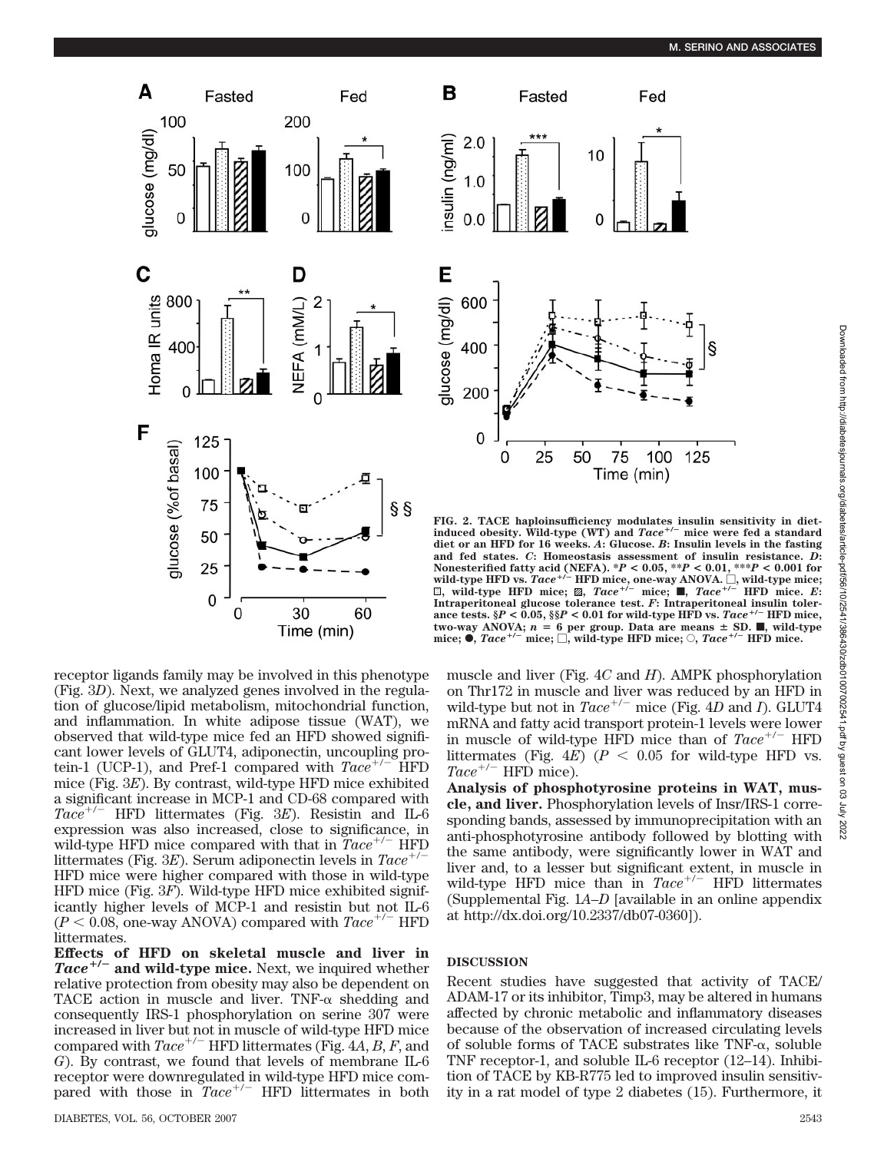§

125

Fed



receptor ligands family may be involved in this phenotype (Fig. 3*D*). Next, we analyzed genes involved in the regulation of glucose/lipid metabolism, mitochondrial function, and inflammation. In white adipose tissue (WAT), we observed that wild-type mice fed an HFD showed significant lower levels of GLUT4, adiponectin, uncoupling protein-1 (UCP-1), and Pref-1 compared with  $Tace^{+/-}$  HFD mice (Fig. 3*E*). By contrast, wild-type HFD mice exhibited a significant increase in MCP-1 and CD-68 compared with Tace<sup>+/-</sup> HFD littermates (Fig. 3E). Resistin and IL-6 expression was also increased, close to significance, in wild-type HFD mice compared with that in  $Tace^{+/-}$  HFD littermates (Fig. 3E). Serum adiponectin levels in  $Tace^+$ / HFD mice were higher compared with those in wild-type HFD mice (Fig. 3*F*). Wild-type HFD mice exhibited significantly higher levels of MCP-1 and resistin but not IL-6  $(P < 0.08$ , one-way ANOVA) compared with  $Tace^{+/-}$  HFD littermates.

**Effects of HFD on skeletal muscle and liver in** Tace<sup>+/-</sup> and wild-type mice. Next, we inquired whether relative protection from obesity may also be dependent on TACE action in muscle and liver. TNF- $\alpha$  shedding and consequently IRS-1 phosphorylation on serine 307 were increased in liver but not in muscle of wild-type HFD mice compared with  $Tace^{+/-}$  HFD littermates (Fig. 4*A*, *B*, *F*, and *G*). By contrast, we found that levels of membrane IL-6 receptor were downregulated in wild-type HFD mice compared with those in  $Tace^{+/-}$  HFD littermates in both



75

Time (min)

100

muscle and liver (Fig. 4*C* and *H*). AMPK phosphorylation on Thr172 in muscle and liver was reduced by an HFD in wild-type but not in *Tace*<sup>+/-</sup> mice (Fig. 4*D* and *I*). GLUT4 mRNA and fatty acid transport protein-1 levels were lower in muscle of wild-type HFD mice than of  $Tace^{+/-}$  HFD littermates (Fig.  $4E$ ) ( $P < 0.05$  for wild-type HFD vs.  $Tace^{+/-}$  HFD mice).

**Analysis of phosphotyrosine proteins in WAT, muscle, and liver.** Phosphorylation levels of Insr/IRS-1 corresponding bands, assessed by immunoprecipitation with an anti-phosphotyrosine antibody followed by blotting with the same antibody, were significantly lower in WAT and liver and, to a lesser but significant extent, in muscle in wild-type HFD mice than in *Tace*<sup>+/-</sup> HFD littermates (Supplemental Fig. 1*A*–*D* [available in an online appendix at http://dx.doi.org/10.2337/db07-0360]).

# **DISCUSSION**

B

nsulin (ng/ml)

E

 $2.0$ 

 $1.0$ 

 $0.0$ 

600

400

200

0

0

Fasted

10

0

50

25

Recent studies have suggested that activity of TACE/ ADAM-17 or its inhibitor, Timp3, may be altered in humans affected by chronic metabolic and inflammatory diseases because of the observation of increased circulating levels of soluble forms of TACE substrates like  $TNF-\alpha$ , soluble TNF receptor-1, and soluble IL-6 receptor (12–14). Inhibition of TACE by KB-R775 led to improved insulin sensitivity in a rat model of type 2 diabetes (15). Furthermore, it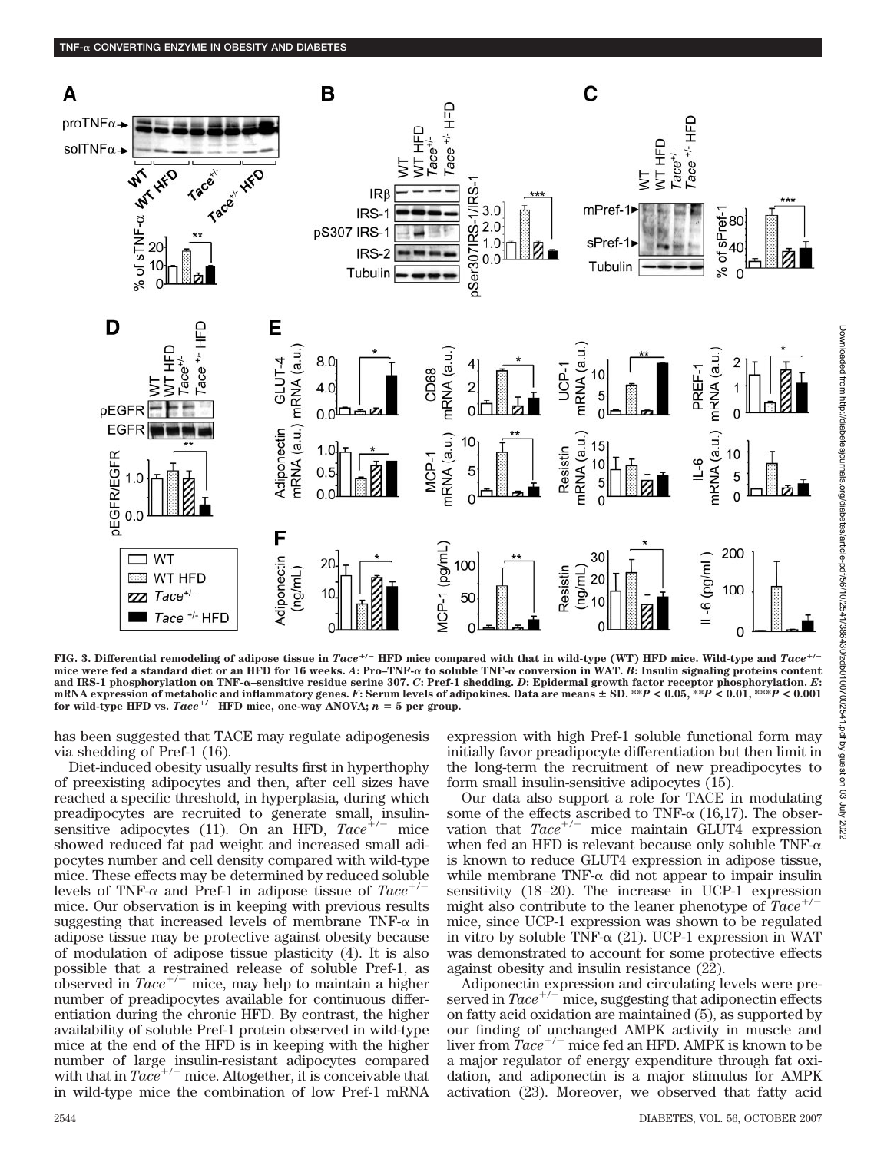

FIG. 3. Differential remodeling of adipose tissue in  $Tace^{+/-}$  HFD mice compared with that in wild-type (WT) HFD mice. Wild-type and  $Tace^{+/-}$ **mice were fed a standard diet or an HFD for 16 weeks.** *A***: Pro–TNF- to soluble TNF- conversion in WAT.** *B***: Insulin signaling proteins content and IRS-1 phosphorylation on TNF-–sensitive residue serine 307.** *C***: Pref-1 shedding.** *D***: Epidermal growth factor receptor phosphorylation.** *E***:** mRNA expression of metabolic and inflammatory genes. F: Serum levels of adipokines. Data are means  $\pm$  SD. \*\*P < 0.05, \*\*P < 0.01, \*\*\*P < 0.01 for wild-type HFD vs.  $Tace^{+/-}$  HFD mice, one-way ANOVA;  $n = 5$  per group.

has been suggested that TACE may regulate adipogenesis via shedding of Pref-1 (16).

Diet-induced obesity usually results first in hyperthophy of preexisting adipocytes and then, after cell sizes have reached a specific threshold, in hyperplasia, during which preadipocytes are recruited to generate small, insulinsensitive adipocytes (11). On an HFD,  $Tace^{+/-}$  mice showed reduced fat pad weight and increased small adipocytes number and cell density compared with wild-type mice. These effects may be determined by reduced soluble levels of TNF- $\alpha$  and Pref-1 in adipose tissue of  $Tace^+$ / mice. Our observation is in keeping with previous results suggesting that increased levels of membrane TNF- $\alpha$  in adipose tissue may be protective against obesity because of modulation of adipose tissue plasticity (4). It is also possible that a restrained release of soluble Pref-1, as observed in  $Tace^{+/-}$  mice, may help to maintain a higher number of preadipocytes available for continuous differentiation during the chronic HFD. By contrast, the higher availability of soluble Pref-1 protein observed in wild-type mice at the end of the HFD is in keeping with the higher number of large insulin-resistant adipocytes compared with that in  $Tace^{+/-}$  mice. Altogether, it is conceivable that in wild-type mice the combination of low Pref-1 mRNA

expression with high Pref-1 soluble functional form may initially favor preadipocyte differentiation but then limit in the long-term the recruitment of new preadipocytes to form small insulin-sensitive adipocytes (15).

Our data also support a role for TACE in modulating some of the effects ascribed to TNF- $\alpha$  (16,17). The observation that  $Tace^{+/-}$  mice maintain  $GLUT4$  expression when fed an HFD is relevant because only soluble  $TNF-\alpha$ is known to reduce GLUT4 expression in adipose tissue, while membrane TNF- $\alpha$  did not appear to impair insulin sensitivity  $(18-20)$ . The increase in UCP-1 expression<br>might also contribute to the leaper phenotype of  $Tace^{+/-}$ might also contribute to the leaner phenotype of *Tace*mice, since UCP-1 expression was shown to be regulated in vitro by soluble TNF- $\alpha$  (21). UCP-1 expression in WAT was demonstrated to account for some protective effects against obesity and insulin resistance (22).

Adiponectin expression and circulating levels were preserved in  $Tace^{+/-}$  mice, suggesting that adiponectin effects on fatty acid oxidation are maintained (5), as supported by our finding of unchanged AMPK activity in muscle and liver from  $\overline{T}ace^{+/-}$  mice fed an HFD. AMPK is known to be a major regulator of energy expenditure through fat oxidation, and adiponectin is a major stimulus for AMPK activation (23). Moreover, we observed that fatty acid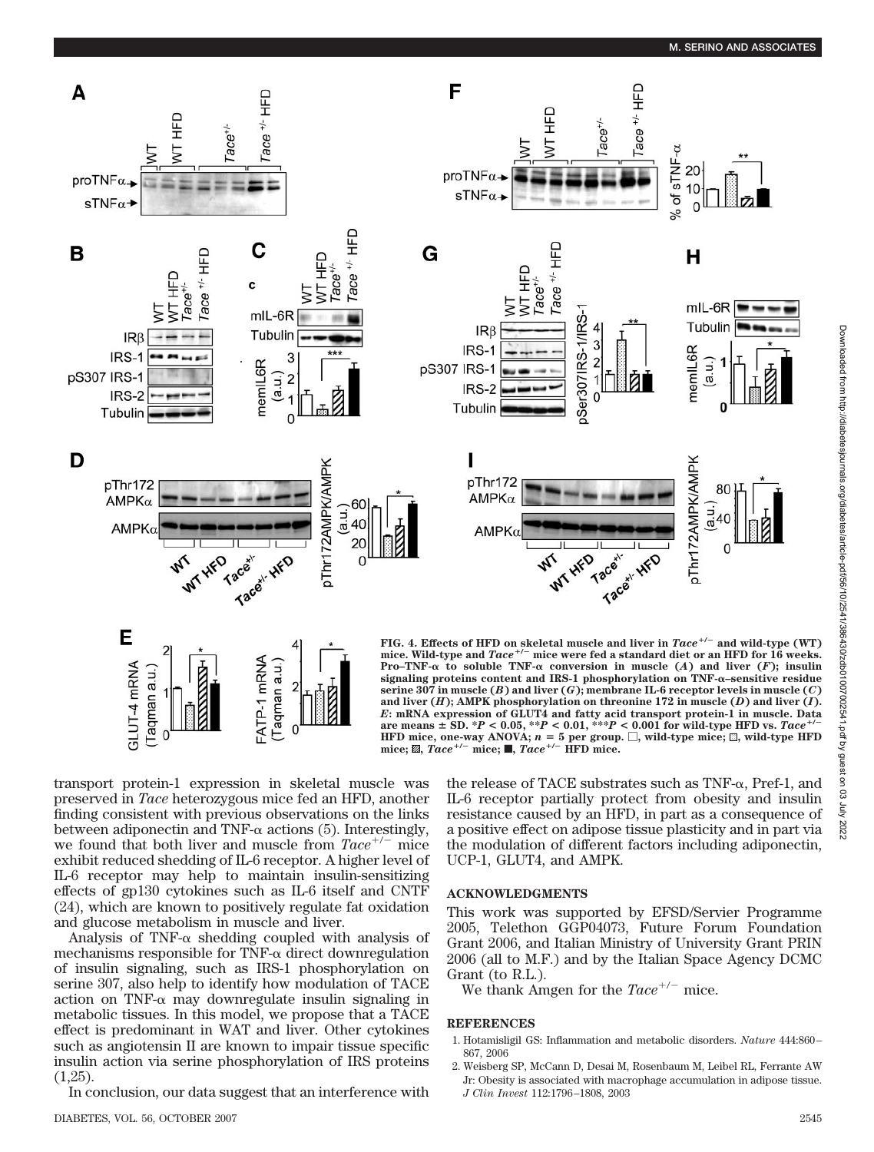#### **M. SERINO AND ASSOCIATES**



Downloaded from http://diabetesjournals.org/diabetes/article-pdf/56/10/2541/386430/zdb010070072451, pdf by guest on 03 July 2022 Downloaded from http://diabetesjournals.org/diabetes/article-pdf/56/10/2541/386430/zdb01007002541.pdf by guest on 03 July 2022

transport protein-1 expression in skeletal muscle was preserved in *Tace* heterozygous mice fed an HFD, another finding consistent with previous observations on the links between adiponectin and TNF- $\alpha$  actions (5). Interestingly, we found that both liver and muscle from  $Tace^{+/-}$  mice exhibit reduced shedding of IL-6 receptor. A higher level of IL-6 receptor may help to maintain insulin-sensitizing effects of gp130 cytokines such as IL-6 itself and CNTF (24), which are known to positively regulate fat oxidation and glucose metabolism in muscle and liver.

Analysis of TNF- $\alpha$  shedding coupled with analysis of mechanisms responsible for TNF- $\alpha$  direct downregulation of insulin signaling, such as IRS-1 phosphorylation on serine 307, also help to identify how modulation of TACE action on TNF- $\alpha$  may downregulate insulin signaling in metabolic tissues. In this model, we propose that a TACE effect is predominant in WAT and liver. Other cytokines such as angiotensin II are known to impair tissue specific insulin action via serine phosphorylation of IRS proteins (1,25).

In conclusion, our data suggest that an interference with

the release of TACE substrates such as  $TNF-\alpha$ , Pref-1, and IL-6 receptor partially protect from obesity and insulin resistance caused by an HFD, in part as a consequence of a positive effect on adipose tissue plasticity and in part via the modulation of different factors including adiponectin, UCP-1, GLUT4, and AMPK.

# **ACKNOWLEDGMENTS**

This work was supported by EFSD/Servier Programme 2005, Telethon GGP04073, Future Forum Foundation Grant 2006, and Italian Ministry of University Grant PRIN 2006 (all to M.F.) and by the Italian Space Agency DCMC Grant (to R.L.).

We thank Amgen for the  $Tace^{+/-}$  mice.

#### **REFERENCES**

- 1. Hotamisligil GS: Inflammation and metabolic disorders. *Nature* 444:860 867, 2006
- 2. Weisberg SP, McCann D, Desai M, Rosenbaum M, Leibel RL, Ferrante AW Jr: Obesity is associated with macrophage accumulation in adipose tissue. *J Clin Invest* 112:1796 –1808, 2003